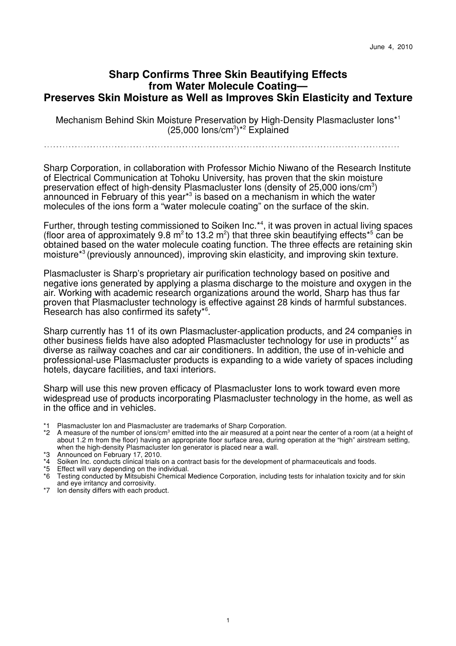# **Sharp Confirms Three Skin Beautifying Effects from Water Molecule Coating— Preserves Skin Moisture as Well as Improves Skin Elasticity and Texture**

Mechanism Behind Skin Moisture Preservation by High-Density Plasmacluster Ions\* 1  $(25,000 \text{ lons/cm}^3)^{*2}$  Explained

Sharp Corporation, in collaboration with Professor Michio Niwano of the Research Institute of Electrical Communication at Tohoku University, has proven that the skin moisture preservation effect of high-density Plasmacluster lons (density of  $25,000$  ions/cm<sup>3</sup>) announced in February of this year\*<sup>3</sup> is based on a mechanism in which the water molecules of the ions form a "water molecule coating" on the surface of the skin.

Further, through testing commissioned to Soiken Inc.<sup>\*4</sup>, it was proven in actual living spaces (floor area of approximately 9.8  $m^2$  to 13.2  $m^2$ ) that three skin beautifying effects<sup>\*5</sup> can be obtained based on the water molecule coating function. The three effects are retaining skin moisture\*3 (previously announced), improving skin elasticity, and improving skin texture.

Plasmacluster is Sharp's proprietary air purification technology based on positive and negative ions generated by applying a plasma discharge to the moisture and oxygen in the air. Working with academic research organizations around the world, Sharp has thus far proven that Plasmacluster technology is effective against 28 kinds of harmful substances. Research has also confirmed its safety\*6 .

Sharp currently has 11 of its own Plasmacluster-application products, and 24 companies in other business fields have also adopted Plasmacluster technology for use in products<sup>\*7</sup> as diverse as railway coaches and car air conditioners. In addition, the use of in-vehicle and professional-use Plasmacluster products is expanding to a wide variety of spaces including hotels, daycare facilities, and taxi interiors.

Sharp will use this new proven efficacy of Plasmacluster Ions to work toward even more widespread use of products incorporating Plasmacluster technology in the home, as well as in the office and in vehicles.

- \*1 Plasmacluster Ion and Plasmacluster are trademarks of Sharp Corporation.
- \*2 A measure of the number of ions/cm<sup>3</sup> emitted into the air measured at a point near the center of a room (at a height of about 1.2 m from the floor) having an appropriate floor surface area, during operation at the "high" airstream setting, when the high-density Plasmacluster Ion generator is placed near a wall.
- \*3 Announced on February 17, 2010.
- \*4 Soiken Inc. conducts clinical trials on a contract basis for the development of pharmaceuticals and foods.
- \*5 Effect will vary depending on the individual.
- \*6 Testing conducted by Mitsubishi Chemical Medience Corporation, including tests for inhalation toxicity and for skin and eye irritancy and corrosivity.
- \*7 Ion density differs with each product.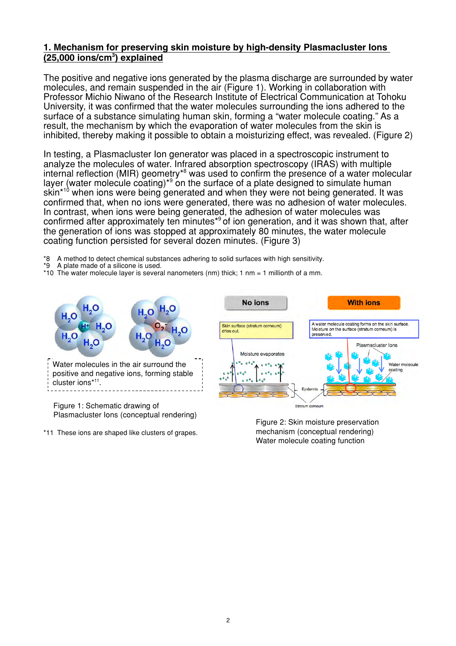## **1. Mechanism for preserving skin moisture by high-density Plasmacluster Ions (25,000 ions/cm3 ) explained**

The positive and negative ions generated by the plasma discharge are surrounded by water molecules, and remain suspended in the air (Figure 1). Working in collaboration with Professor Michio Niwano of the Research Institute of Electrical Communication at Tohoku University, it was confirmed that the water molecules surrounding the ions adhered to the surface of a substance simulating human skin, forming a "water molecule coating." As a result, the mechanism by which the evaporation of water molecules from the skin is inhibited, thereby making it possible to obtain a moisturizing effect, was revealed. (Figure 2)

In testing, a Plasmacluster Ion generator was placed in a spectroscopic instrument to analyze the molecules of water. Infrared absorption spectroscopy (IRAS) with multiple internal reflection (MIR) geometry<sup>\*8</sup> was used to confirm the presence of a water molecular layer (water molecule coating)<sup>\*9</sup> on the surface of a plate designed to simulate human skin<sup>\*10</sup> when ions were being generated and when they were not being generated. It was confirmed that, when no ions were generated, there was no adhesion of water molecules. In contrast, when ions were being generated, the adhesion of water molecules was confirmed after approximately ten minutes<sup>\*9</sup> of ion generation, and it was shown that, after the generation of ions was stopped at approximately 80 minutes, the water molecule coating function persisted for several dozen minutes. (Figure 3)

- \*8 A method to detect chemical substances adhering to solid surfaces with high sensitivity.
- \*9 A plate made of a silicone is used.
- \*10 The water molecule layer is several nanometers (nm) thick; 1 nm = 1 millionth of a mm.



Figure 2: Skin moisture preservation mechanism (conceptual rendering) Water molecule coating function

\*11 These ions are shaped like clusters of grapes.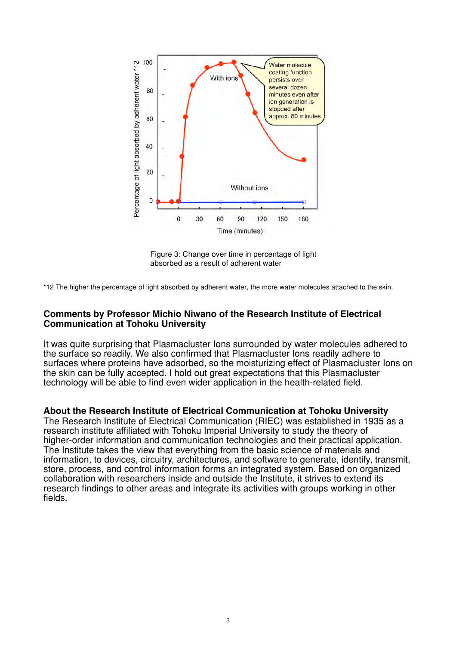

Figure 3: Change over time in percentage of light absorbed as a result of adherent water

\*12 The higher the percentage of light absorbed by adherent water, the more water molecules attached to the skin.

#### **Comments by Professor Michio Niwano of the Research Institute of Electrical Communication at Tohoku University**

It was quite surprising that Plasmacluster Ions surrounded by water molecules adhered to the surface so readily. We also confirmed that Plasmacluster Ions readily adhere to surfaces where proteins have adsorbed, so the moisturizing effect of Plasmacluster Ions on the skin can be fully accepted. I hold out great expectations that this Plasmacluster technology will be able to find even wider application in the health-related field.

#### **About the Research Institute of Electrical Communication at Tohoku University**

The Research Institute of Electrical Communication (RIEC) was established in 1935 as a research institute affiliated with Tohoku Imperial University to study the theory of higher-order information and communication technologies and their practical application. The Institute takes the view that everything from the basic science of materials and information, to devices, circuitry, architectures, and software to generate, identify, transmit, store, process, and control information forms an integrated system. Based on organized collaboration with researchers inside and outside the Institute, it strives to extend its research findings to other areas and integrate its activities with groups working in other fields.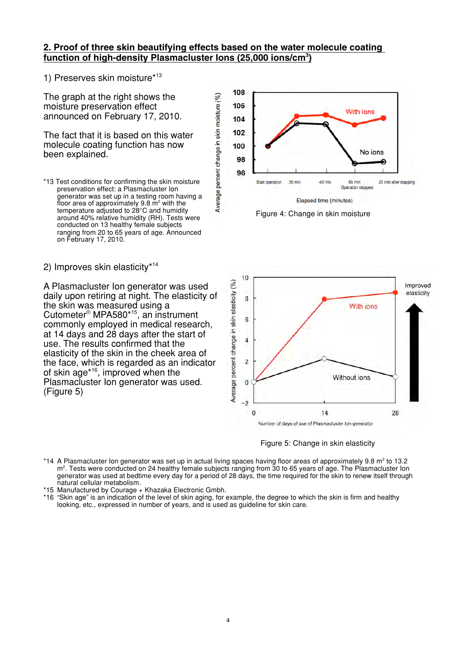### **2. Proof of three skin beautifying effects based on the water molecule coating function of high-density Plasmacluster Ions (25,000 ions/cm3 )**

Average percent change in skin moisture (%)

1) Preserves skin moisture\* 13

The graph at the right shows the moisture preservation effect announced on February 17, 2010.

The fact that it is based on this water molecule coating function has now been explained.

2) Improves skin elasticity\*14

A Plasmacluster Ion generator was used daily upon retiring at night. The elasticity of the skin was measured using a Cutometer® MPA580\*15 , an instrument commonly employed in medical research, at 14 days and 28 days after the start of use. The results confirmed that the elasticity of the skin in the cheek area of the face, which is regarded as an indicator of skin age\*16 , improved when the Plasmacluster Ion generator was used. (Figure 5)









- \*14 A Plasmacluster Ion generator was set up in actual living spaces having floor areas of approximately 9.8  $m^2$  to 13.2 m<sup>2</sup>. Tests were conducted on 24 healthy female subjects ranging from 30 to 65 years of age. The Plasmacluster Ion generator was used at bedtime every day for a period of 28 days, the time required for the skin to renew itself through natural cellular metabolism.
- \*15 Manufactured by Courage + Khazaka Electronic Gmbh.
- \*16 "Skin age" is an indication of the level of skin aging, for example, the degree to which the skin is firm and healthy looking, etc., expressed in number of years, and is used as guideline for skin care.

<sup>\*13</sup> Test conditions for confirming the skin moisture preservation effect: a Plasmacluster Ion generator was set up in a testing room having a floor area of approximately 9.8  $\mathrm{m}^2$  with the temperature adjusted to 28°C and humidity around 40% relative humidity (RH). Tests were conducted on 13 healthy female subjects ranging from 20 to 65 years of age. Announced on February 17, 2010.